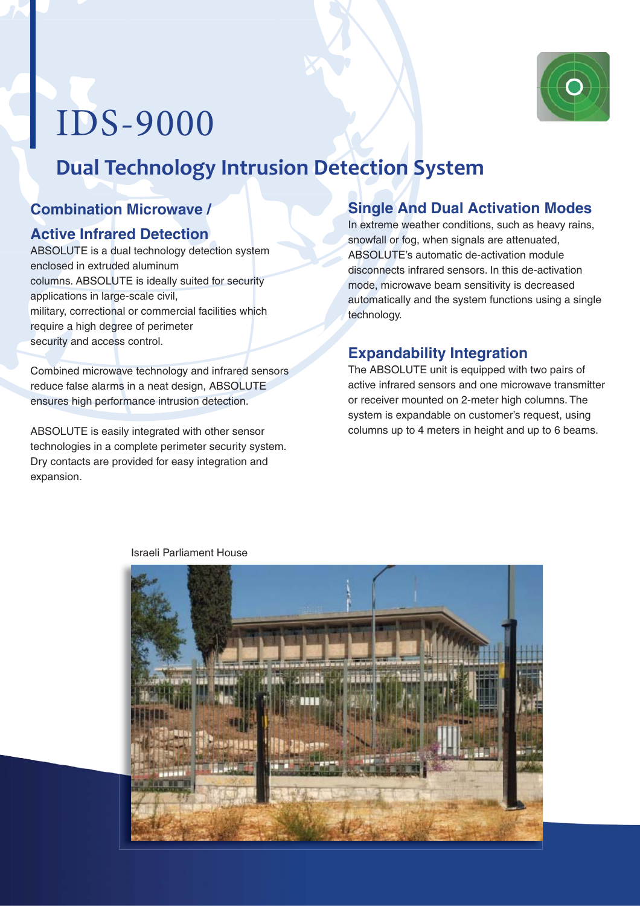

# IDS-9000

## **Dual Technology Intrusion Detection System**

#### **Combination Microwave /**

#### **Active Infrared Detection**

ABSOLUTE is a dual technology detection system enclosed in extruded aluminum columns. ABSOLUTE is ideally suited for security applications in large-scale civil, military, correctional or commercial facilities which require a high degree of perimeter security and access control.

Combined microwave technology and infrared sensors reduce false alarms in a neat design, ABSOLUTE ensures high performance intrusion detection.

ABSOLUTE is easily integrated with other sensor technologies in a complete perimeter security system. Dry contacts are provided for easy integration and expansion.

#### **Single And Dual Activation Modes**

In extreme weather conditions, such as heavy rains, snowfall or fog, when signals are attenuated, ABSOLUTE's automatic de-activation module disconnects infrared sensors. In this de-activation mode, microwave beam sensitivity is decreased automatically and the system functions using a single technology.

#### **Expandability Integration**

The ABSOLUTE unit is equipped with two pairs of active infrared sensors and one microwave transmitter or receiver mounted on 2-meter high columns. The system is expandable on customer's request, using columns up to 4 meters in height and up to 6 beams.



#### Israeli Parliament House